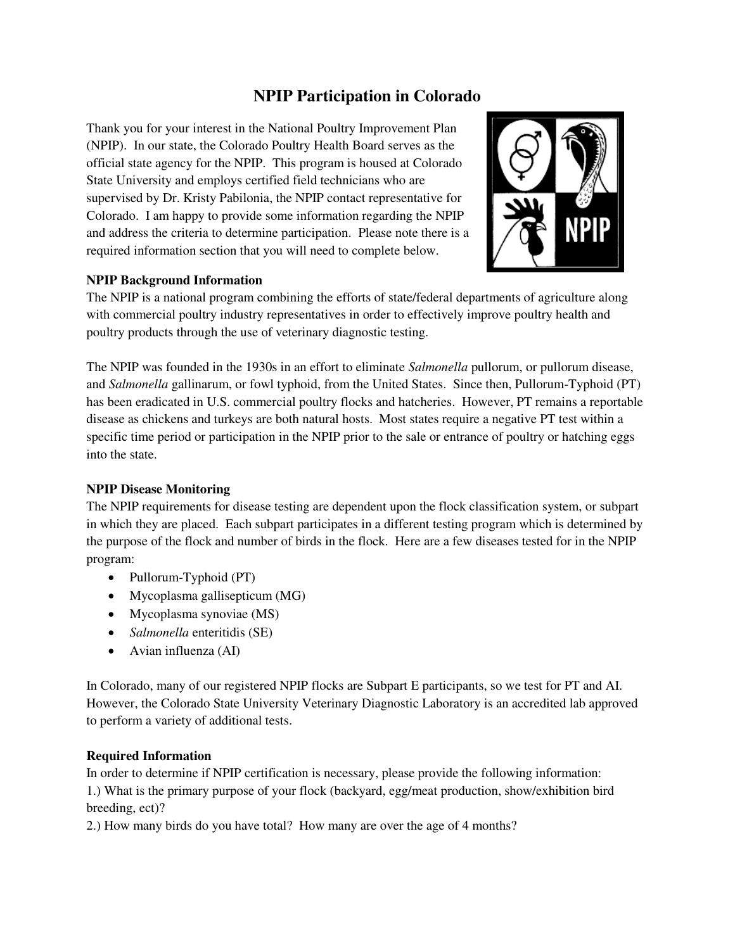# **NPIP Participation in Colorado**

Thank you for your interest in the National Poultry Improvement Plan (NPIP). In our state, the Colorado Poultry Health Board serves as the official state agency for the NPIP. This program is housed at Colorado State University and employs certified field technicians who are supervised by Dr. Kristy Pabilonia, the NPIP contact representative for Colorado. I am happy to provide some information regarding the NPIP and address the criteria to determine participation. Please note there is a required information section that you will need to complete below.



## **NPIP Background Information**

The NPIP is a national program combining the efforts of state/federal departments of agriculture along with commercial poultry industry representatives in order to effectively improve poultry health and poultry products through the use of veterinary diagnostic testing.

The NPIP was founded in the 1930s in an effort to eliminate *Salmonella* pullorum, or pullorum disease, and *Salmonella* gallinarum, or fowl typhoid, from the United States. Since then, Pullorum-Typhoid (PT) has been eradicated in U.S. commercial poultry flocks and hatcheries. However, PT remains a reportable disease as chickens and turkeys are both natural hosts. Most states require a negative PT test within a specific time period or participation in the NPIP prior to the sale or entrance of poultry or hatching eggs into the state.

## **NPIP Disease Monitoring**

The NPIP requirements for disease testing are dependent upon the flock classification system, or subpart in which they are placed. Each subpart participates in a different testing program which is determined by the purpose of the flock and number of birds in the flock. Here are a few diseases tested for in the NPIP program:

- Pullorum-Typhoid (PT)
- Mycoplasma gallisepticum (MG)
- Mycoplasma synoviae (MS)
- *Salmonella* enteritidis (SE)
- Avian influenza (AI)

In Colorado, many of our registered NPIP flocks are Subpart E participants, so we test for PT and AI. However, the Colorado State University Veterinary Diagnostic Laboratory is an accredited lab approved to perform a variety of additional tests.

## **Required Information**

In order to determine if NPIP certification is necessary, please provide the following information: 1.) What is the primary purpose of your flock (backyard, egg/meat production, show/exhibition bird breeding, ect)?

2.) How many birds do you have total? How many are over the age of 4 months?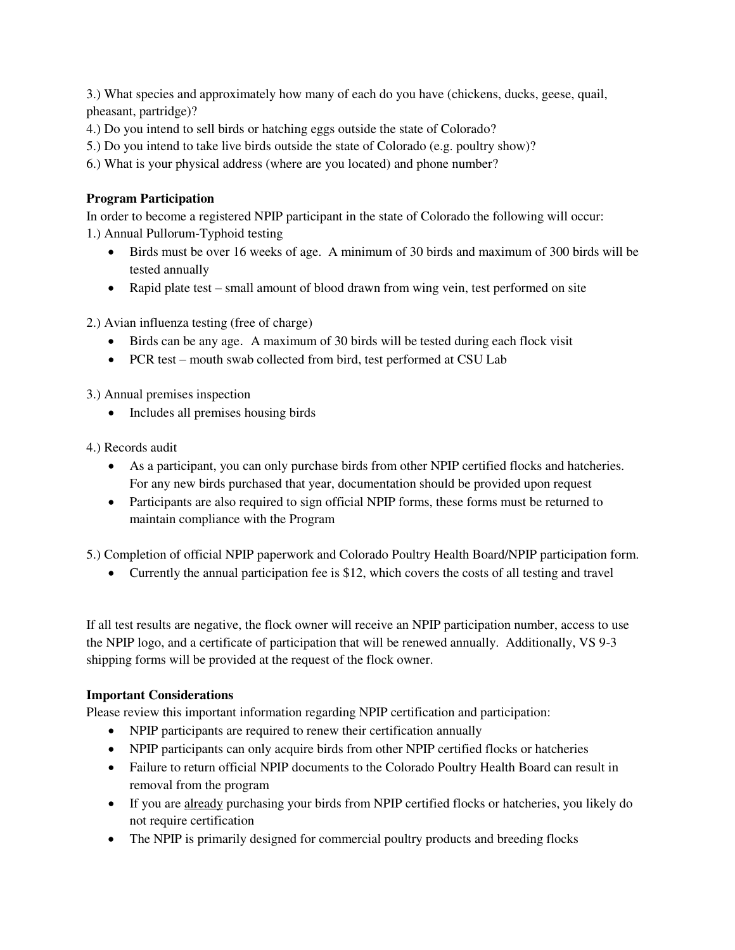3.) What species and approximately how many of each do you have (chickens, ducks, geese, quail, pheasant, partridge)?

4.) Do you intend to sell birds or hatching eggs outside the state of Colorado?

5.) Do you intend to take live birds outside the state of Colorado (e.g. poultry show)?

6.) What is your physical address (where are you located) and phone number?

## **Program Participation**

In order to become a registered NPIP participant in the state of Colorado the following will occur: 1.) Annual Pullorum-Typhoid testing

- Birds must be over 16 weeks of age. A minimum of 30 birds and maximum of 300 birds will be tested annually
- Rapid plate test small amount of blood drawn from wing vein, test performed on site

2.) Avian influenza testing (free of charge)

- Birds can be any age. A maximum of 30 birds will be tested during each flock visit
- PCR test mouth swab collected from bird, test performed at CSU Lab

3.) Annual premises inspection

• Includes all premises housing birds

4.) Records audit

- As a participant, you can only purchase birds from other NPIP certified flocks and hatcheries. For any new birds purchased that year, documentation should be provided upon request
- Participants are also required to sign official NPIP forms, these forms must be returned to maintain compliance with the Program

5.) Completion of official NPIP paperwork and Colorado Poultry Health Board/NPIP participation form.

Currently the annual participation fee is \$12, which covers the costs of all testing and travel

If all test results are negative, the flock owner will receive an NPIP participation number, access to use the NPIP logo, and a certificate of participation that will be renewed annually. Additionally, VS 9-3 shipping forms will be provided at the request of the flock owner.

### **Important Considerations**

Please review this important information regarding NPIP certification and participation:

- NPIP participants are required to renew their certification annually
- NPIP participants can only acquire birds from other NPIP certified flocks or hatcheries
- Failure to return official NPIP documents to the Colorado Poultry Health Board can result in removal from the program
- If you are already purchasing your birds from NPIP certified flocks or hatcheries, you likely do not require certification
- The NPIP is primarily designed for commercial poultry products and breeding flocks